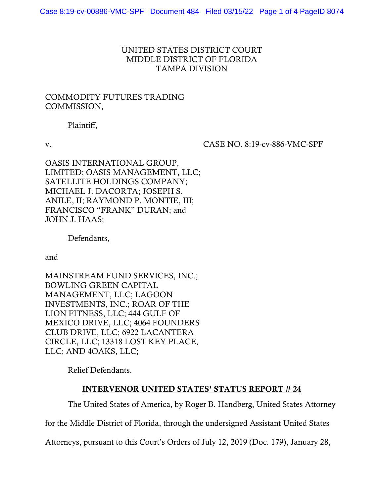## UNITED STATES DISTRICT COURT MIDDLE DISTRICT OF FLORIDA TAMPA DIVISION

## COMMODITY FUTURES TRADING COMMISSION,

Plaintiff,

v. CASE NO. 8:19-cv-886-VMC-SPF

OASIS INTERNATIONAL GROUP, LIMITED; OASIS MANAGEMENT, LLC; SATELLITE HOLDINGS COMPANY; MICHAEL J. DACORTA; JOSEPH S. ANILE, II; RAYMOND P. MONTIE, III; FRANCISCO "FRANK" DURAN; and JOHN J. HAAS;

Defendants,

and

MAINSTREAM FUND SERVICES, INC.; BOWLING GREEN CAPITAL MANAGEMENT, LLC; LAGOON INVESTMENTS, INC.; ROAR OF THE LION FITNESS, LLC; 444 GULF OF MEXICO DRIVE, LLC; 4064 FOUNDERS CLUB DRIVE, LLC; 6922 LACANTERA CIRCLE, LLC; 13318 LOST KEY PLACE, LLC; AND 4OAKS, LLC;

Relief Defendants.

## INTERVENOR UNITED STATES' STATUS REPORT # 24

The United States of America, by Roger B. Handberg, United States Attorney

for the Middle District of Florida, through the undersigned Assistant United States

Attorneys, pursuant to this Court's Orders of July 12, 2019 (Doc. 179), January 28,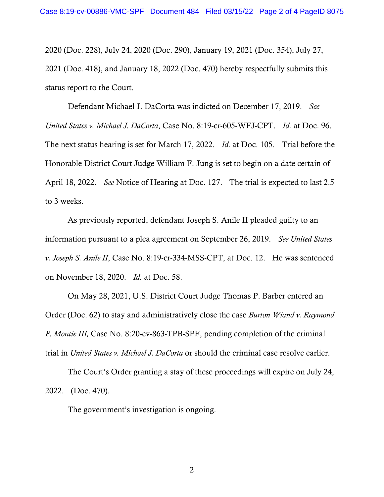2020 (Doc. 228), July 24, 2020 (Doc. 290), January 19, 2021 (Doc. 354), July 27, 2021 (Doc. 418), and January 18, 2022 (Doc. 470) hereby respectfully submits this status report to the Court.

Defendant Michael J. DaCorta was indicted on December 17, 2019. *See United States v. Michael J. DaCorta*, Case No. 8:19-cr-605-WFJ-CPT. *Id.* at Doc. 96. The next status hearing is set for March 17, 2022. *Id.* at Doc. 105. Trial before the Honorable District Court Judge William F. Jung is set to begin on a date certain of April 18, 2022. *See* Notice of Hearing at Doc. 127. The trial is expected to last 2.5 to 3 weeks.

As previously reported, defendant Joseph S. Anile II pleaded guilty to an information pursuant to a plea agreement on September 26, 2019. *See United States v. Joseph S. Anile II*, Case No. 8:19-cr-334-MSS-CPT, at Doc. 12. He was sentenced on November 18, 2020. *Id.* at Doc. 58.

On May 28, 2021, U.S. District Court Judge Thomas P. Barber entered an Order (Doc. 62) to stay and administratively close the case *Burton Wiand v. Raymond P. Montie III,* Case No. 8:20-cv-863-TPB-SPF, pending completion of the criminal trial in *United States v. Michael J. DaCorta* or should the criminal case resolve earlier.

The Court's Order granting a stay of these proceedings will expire on July 24, 2022. (Doc. 470).

The government's investigation is ongoing.

2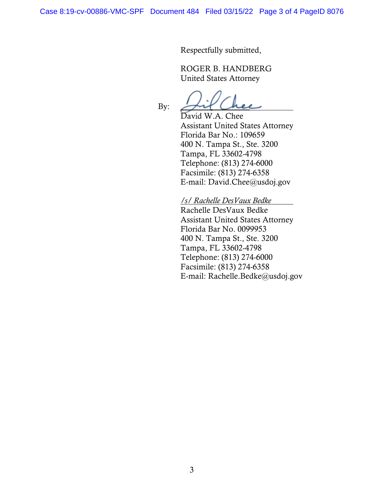Respectfully submitted,

ROGER B. HANDBERG United States Attorney

By: *\_\_\_\_\_\_\_\_\_\_\_\_\_\_\_\_\_*

David W.A. Chee Assistant United States Attorney Florida Bar No.: 109659 400 N. Tampa St., Ste. 3200 Tampa, FL 33602-4798 Telephone: (813) 274-6000 Facsimile: (813) 274-6358 E-mail: David.Chee@usdoj.gov

*/s/ Rachelle DesVaux Bedke* Rachelle DesVaux Bedke Assistant United States Attorney Florida Bar No. 0099953 400 N. Tampa St., Ste. 3200 Tampa, FL 33602-4798 Telephone: (813) 274-6000 Facsimile: (813) 274-6358 E-mail: Rachelle.Bedke@usdoj.gov